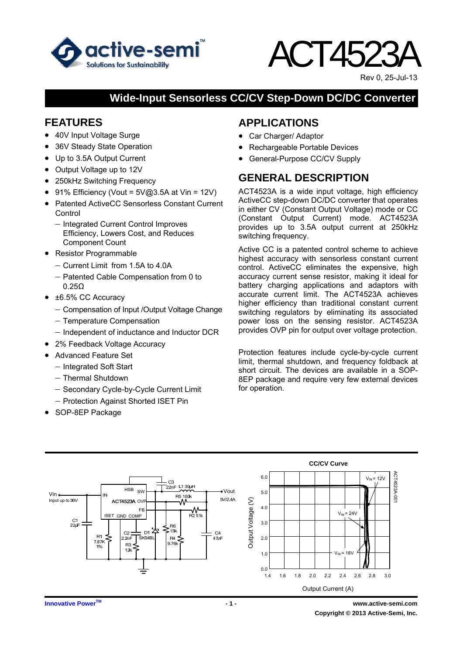

# ACT4523A

Rev 0, 25-Jul-13

## **Wide-Input Sensorless CC/CV Step-Down DC/DC Converter**

## **FEATURES**

- 40V Input Voltage Surge
- 36V Steady State Operation
- Up to 3.5A Output Current
- Output Voltage up to 12V
- 250kHz Switching Frequency
- 91% Efficiency (Vout =  $5\sqrt{a}3.5A$  at Vin = 12V)
- Patented ActiveCC Sensorless Constant Current **Control** 
	- − Integrated Current Control Improves Efficiency, Lowers Cost, and Reduces Component Count
- Resistor Programmable
	- − Current Limit from 1.5A to 4.0A
	- − Patented Cable Compensation from 0 to 0.25Ω
- $\bullet$   $\pm$ 6.5% CC Accuracy
	- − Compensation of Input /Output Voltage Change
	- − Temperature Compensation
	- − Independent of inductance and Inductor DCR
- 2% Feedback Voltage Accuracy
- Advanced Feature Set
	- − Integrated Soft Start
	- − Thermal Shutdown
	- − Secondary Cycle-by-Cycle Current Limit
	- − Protection Against Shorted ISET Pin
- SOP-8EP Package

# **APPLICATIONS**

- Car Charger/ Adaptor
- Rechargeable Portable Devices
- General-Purpose CC/CV Supply

# **GENERAL DESCRIPTION**

ACT4523A is a wide input voltage, high efficiency ActiveCC step-down DC/DC converter that operates in either CV (Constant Output Voltage) mode or CC (Constant Output Current) mode. ACT4523A provides up to 3.5A output current at 250kHz switching frequency.

Active CC is a patented control scheme to achieve highest accuracy with sensorless constant current control. ActiveCC eliminates the expensive, high accuracy current sense resistor, making it ideal for battery charging applications and adaptors with accurate current limit. The ACT4523A achieves higher efficiency than traditional constant current switching regulators by eliminating its associated power loss on the sensing resistor. ACT4523A provides OVP pin for output over voltage protection.

Protection features include cycle-by-cycle current limit, thermal shutdown, and frequency foldback at short circuit. The devices are available in a SOP-8EP package and require very few external devices for operation.

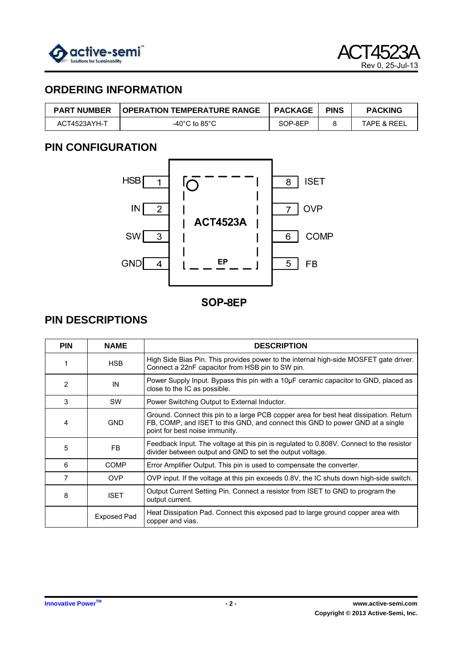

# **ORDERING INFORMATION**

| <b>PART NUMBER</b> | <b>I OPERATION TEMPERATURE RANGE</b> | <b>PACKAGE</b> | <b>PINS</b> | <b>PACKING</b>         |
|--------------------|--------------------------------------|----------------|-------------|------------------------|
| ACT4523AYH-T       | -40°C to 85°C                        | SOP-8EP        |             | <b>TAPE &amp; REEL</b> |

# **PIN CONFIGURATION**



SOP-8EP

# **PIN DESCRIPTIONS**

| <b>PIN</b>     | <b>NAME</b>        | <b>DESCRIPTION</b>                                                                                                                                                                                       |
|----------------|--------------------|----------------------------------------------------------------------------------------------------------------------------------------------------------------------------------------------------------|
|                | <b>HSB</b>         | High Side Bias Pin. This provides power to the internal high-side MOSFET gate driver.<br>Connect a 22nF capacitor from HSB pin to SW pin.                                                                |
| 2              | IN                 | Power Supply Input. Bypass this pin with a $10\mu$ F ceramic capacitor to GND, placed as<br>close to the IC as possible.                                                                                 |
| 3              | <b>SW</b>          | Power Switching Output to External Inductor.                                                                                                                                                             |
| 4              | <b>GND</b>         | Ground. Connect this pin to a large PCB copper area for best heat dissipation. Return<br>FB, COMP, and ISET to this GND, and connect this GND to power GND at a single<br>point for best noise immunity. |
| 5              | FB.                | Feedback Input. The voltage at this pin is regulated to 0.808V. Connect to the resistor<br>divider between output and GND to set the output voltage.                                                     |
| 6              | <b>COMP</b>        | Error Amplifier Output. This pin is used to compensate the converter.                                                                                                                                    |
| $\overline{7}$ | <b>OVP</b>         | OVP input. If the voltage at this pin exceeds 0.8V, the IC shuts down high-side switch.                                                                                                                  |
| 8              | <b>ISET</b>        | Output Current Setting Pin. Connect a resistor from ISET to GND to program the<br>output current.                                                                                                        |
|                | <b>Exposed Pad</b> | Heat Dissipation Pad. Connect this exposed pad to large ground copper area with<br>copper and vias.                                                                                                      |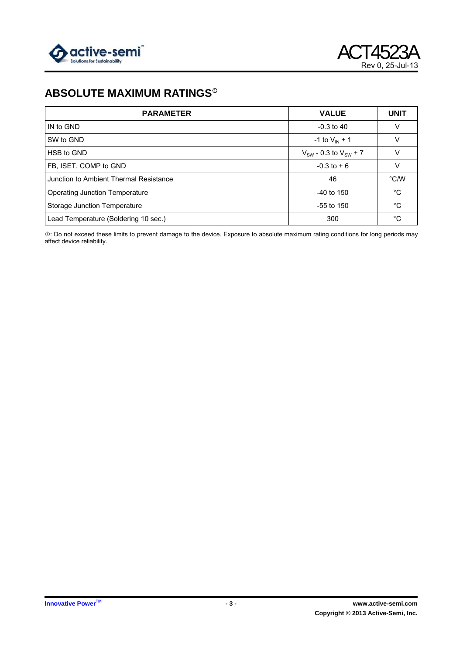

# **ABSOLUTE MAXIMUM RATINGS<sup>®</sup>**

| <b>PARAMETER</b>                       | <b>VALUE</b>                   | <b>UNIT</b>   |
|----------------------------------------|--------------------------------|---------------|
| IN to GND                              | $-0.3$ to 40                   |               |
| SW to GND                              | -1 to $V_{IN}$ + 1             |               |
| HSB to GND                             | $V_{SW}$ - 0.3 to $V_{SW}$ + 7 |               |
| FB, ISET, COMP to GND                  | $-0.3$ to $+6$                 |               |
| Junction to Ambient Thermal Resistance | 46                             | $\degree$ C/W |
| <b>Operating Junction Temperature</b>  | $-40$ to 150                   | $^{\circ}C$   |
| Storage Junction Temperature           | $-55$ to 150                   | $^{\circ}C$   |
| Lead Temperature (Soldering 10 sec.)   | 300                            | °C            |

c: Do not exceed these limits to prevent damage to the device. Exposure to absolute maximum rating conditions for long periods may affect device reliability.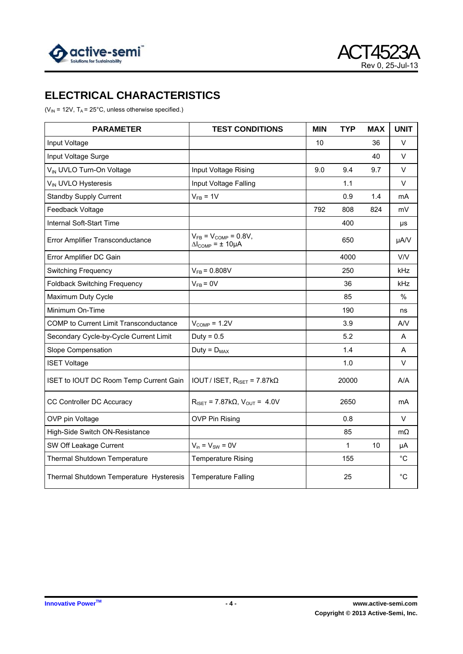



# **ELECTRICAL CHARACTERISTICS**

( $V_{IN}$  = 12V, T<sub>A</sub> = 25°C, unless otherwise specified.)

| <b>PARAMETER</b>                              | <b>TEST CONDITIONS</b>                                                  | <b>MIN</b> | <b>TYP</b> | <b>MAX</b> | <b>UNIT</b>   |
|-----------------------------------------------|-------------------------------------------------------------------------|------------|------------|------------|---------------|
| Input Voltage                                 |                                                                         | 10         |            | 36         | V             |
| Input Voltage Surge                           |                                                                         |            |            | 40         | V             |
| V <sub>IN</sub> UVLO Turn-On Voltage          | Input Voltage Rising                                                    | 9.0        | 9.4        | 9.7        | V             |
| V <sub>IN</sub> UVLO Hysteresis               | Input Voltage Falling                                                   |            | 1.1        |            | $\vee$        |
| <b>Standby Supply Current</b>                 | $V_{FB} = 1V$                                                           |            | 0.9        | 1.4        | mA            |
| Feedback Voltage                              |                                                                         | 792        | 808        | 824        | mV            |
| Internal Soft-Start Time                      |                                                                         |            | 400        |            | μs            |
| Error Amplifier Transconductance              | $V_{FB} = V_{COMP} = 0.8V$ ,<br>$\Delta l_{\text{COMP}} = \pm 10 \mu A$ |            | 650        |            | µA/V          |
| Error Amplifier DC Gain                       |                                                                         |            | 4000       |            | V/V           |
| <b>Switching Frequency</b>                    | $V_{FB} = 0.808V$                                                       |            | 250        |            | kHz           |
| <b>Foldback Switching Frequency</b>           | $V_{FB} = 0V$                                                           |            | 36         |            | kHz           |
| Maximum Duty Cycle                            |                                                                         |            | 85         |            | $\frac{0}{0}$ |
| Minimum On-Time                               |                                                                         |            | 190        |            | ns            |
| <b>COMP</b> to Current Limit Transconductance | $V_{\text{COMP}} = 1.2V$                                                |            | 3.9        |            | A/V           |
| Secondary Cycle-by-Cycle Current Limit        | Duty = $0.5$                                                            |            | 5.2        |            | A             |
| Slope Compensation                            | $Duty = D_{MAX}$                                                        |            | 1.4        |            | A             |
| <b>ISET Voltage</b>                           |                                                                         |            | 1.0        |            | V             |
| ISET to IOUT DC Room Temp Current Gain        | IOUT / ISET, $R_{ISET} = 7.87k\Omega$                                   |            | 20000      |            | A/A           |
| CC Controller DC Accuracy                     | $R_{ISET} = 7.87 k\Omega, V_{OUT} = 4.0 V$                              |            | 2650       |            | mA            |
| OVP pin Voltage                               | <b>OVP Pin Rising</b>                                                   |            | 0.8        |            | V             |
| High-Side Switch ON-Resistance                |                                                                         |            | 85         |            | $m\Omega$     |
| SW Off Leakage Current                        | $V_{in} = V_{SW} = 0V$                                                  |            | 1          | 10         | μA            |
| Thermal Shutdown Temperature                  | <b>Temperature Rising</b>                                               |            | 155        |            | $^{\circ}C$   |
| Thermal Shutdown Temperature Hysteresis       | <b>Temperature Falling</b>                                              |            | 25         |            | $^{\circ}C$   |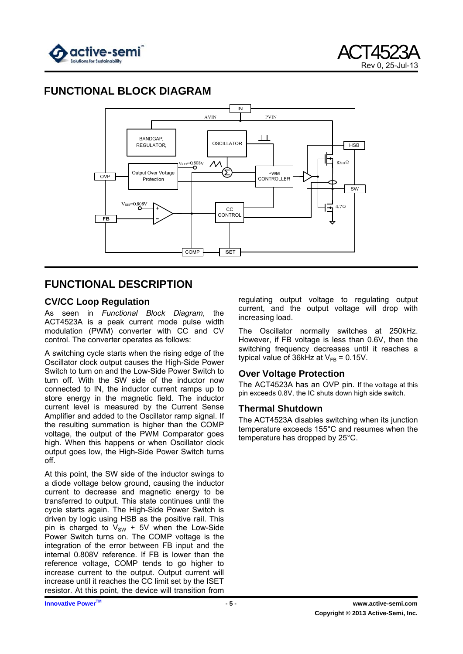

# **FUNCTIONAL BLOCK DIAGRAM**



## **FUNCTIONAL DESCRIPTION**

## **CV/CC Loop Regulation**

As seen in *Functional Block Diagram*, the ACT4523A is a peak current mode pulse width modulation (PWM) converter with CC and CV control. The converter operates as follows:

A switching cycle starts when the rising edge of the Oscillator clock output causes the High-Side Power Switch to turn on and the Low-Side Power Switch to turn off. With the SW side of the inductor now connected to IN, the inductor current ramps up to store energy in the magnetic field. The inductor current level is measured by the Current Sense Amplifier and added to the Oscillator ramp signal. If the resulting summation is higher than the COMP voltage, the output of the PWM Comparator goes high. When this happens or when Oscillator clock output goes low, the High-Side Power Switch turns off.

At this point, the SW side of the inductor swings to a diode voltage below ground, causing the inductor current to decrease and magnetic energy to be transferred to output. This state continues until the cycle starts again. The High-Side Power Switch is driven by logic using HSB as the positive rail. This pin is charged to  $V_{SW}$  + 5V when the Low-Side Power Switch turns on. The COMP voltage is the integration of the error between FB input and the internal 0.808V reference. If FB is lower than the reference voltage, COMP tends to go higher to increase current to the output. Output current will increase until it reaches the CC limit set by the ISET resistor. At this point, the device will transition from

regulating output voltage to regulating output current, and the output voltage will drop with increasing load.

The Oscillator normally switches at 250kHz. However, if FB voltage is less than 0.6V, then the switching frequency decreases until it reaches a typical value of 36kHz at  $V_{FB} = 0.15V$ .

## **Over Voltage Protection**

The ACT4523A has an OVP pin. If the voltage at this pin exceeds 0.8V, the IC shuts down high side switch.

## **Thermal Shutdown**

The ACT4523A disables switching when its junction temperature exceeds 155°C and resumes when the temperature has dropped by 25°C.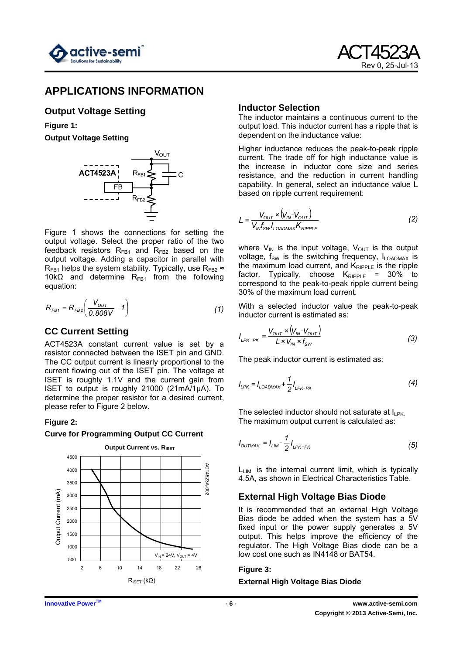

## **APPLICATIONS INFORMATION**

## **Output Voltage Setting**

**Figure 1: Output Voltage Setting** 



Figure 1 shows the connections for setting the output voltage. Select the proper ratio of the two feedback resistors  $R_{FB1}$  and  $R_{FB2}$  based on the output voltage. Adding a capacitor in parallel with  $R_{FR1}$  helps the system stability. Typically, use  $R_{FR2} \approx$ 10k $\Omega$  and determine R<sub>FB1</sub> from the following equation:

$$
R_{FB1} = R_{FB2} \left( \frac{V_{OUT}}{0.808V} - 1 \right)
$$
 (1)

## **CC Current Setting**

ACT4523A constant current value is set by a resistor connected between the ISET pin and GND. The CC output current is linearly proportional to the current flowing out of the ISET pin. The voltage at ISET is roughly 1.1V and the current gain from ISET to output is roughly 21000 (21mA/1µA). To determine the proper resistor for a desired current, please refer to Figure 2 below.

## **Figure 2:**

#### **Curve for Programming Output CC Current**



#### **Inductor Selection**

The inductor maintains a continuous current to the output load. This inductor current has a ripple that is dependent on the inductance value:

Higher inductance reduces the peak-to-peak ripple current. The trade off for high inductance value is the increase in inductor core size and series resistance, and the reduction in current handling capability. In general, select an inductance value L based on ripple current requirement:

$$
L = \frac{V_{OUT} \times (V_{IN} - V_{OUT})}{V_{IN} f_{SW} I_{LOADMAX} K_{RIPILE}}
$$
(2)

where  $V_{IN}$  is the input voltage,  $V_{OUT}$  is the output voltage,  $f_{SW}$  is the switching frequency,  $I_{LOADMAX}$  is the maximum load current, and  $K_{\text{RIPPLE}}$  is the ripple factor. Typically, choose  $K_{\text{Ripple}} = 30\%$  to correspond to the peak-to-peak ripple current being 30% of the maximum load current.

With a selected inductor value the peak-to-peak inductor current is estimated as:

$$
I_{LPK-PK} = \frac{V_{OUT} \times (V_{IN} - V_{OUT})}{L \times V_{IN} \times f_{SW}}
$$
(3)

The peak inductor current is estimated as:

$$
I_{LPK} = I_{LOADMAX} + \frac{1}{2} I_{LPK-PK}
$$
 (4)

The selected inductor should not saturate at  $I_{\text{LPK}}$ . The maximum output current is calculated as:

$$
I_{\text{OUTMAX}} = I_{\text{LIM}} - \frac{1}{2} I_{\text{LPK-PK}} \tag{5}
$$

 $L_{LIM}$  is the internal current limit, which is typically 4.5A, as shown in Electrical Characteristics Table.

## **External High Voltage Bias Diode**

It is recommended that an external High Voltage Bias diode be added when the system has a 5V fixed input or the power supply generates a 5V output. This helps improve the efficiency of the regulator. The High Voltage Bias diode can be a low cost one such as IN4148 or BAT54.

## **Figure 3:**

**External High Voltage Bias Diode**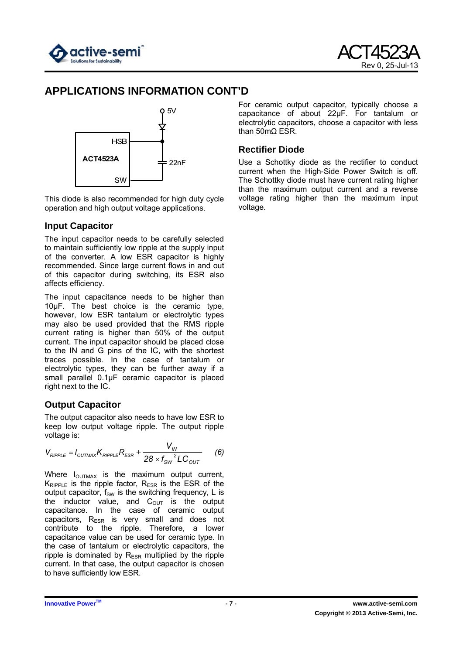

# **APPLICATIONS INFORMATION CONT'D**



This diode is also recommended for high duty cycle operation and high output voltage applications.

## **Input Capacitor**

The input capacitor needs to be carefully selected to maintain sufficiently low ripple at the supply input of the converter. A low ESR capacitor is highly recommended. Since large current flows in and out of this capacitor during switching, its ESR also affects efficiency.

The input capacitance needs to be higher than 10µF. The best choice is the ceramic type, however, low ESR tantalum or electrolytic types may also be used provided that the RMS ripple current rating is higher than 50% of the output current. The input capacitor should be placed close to the IN and G pins of the IC, with the shortest traces possible. In the case of tantalum or electrolytic types, they can be further away if a small parallel 0.1µF ceramic capacitor is placed right next to the IC.

## **Output Capacitor**

The output capacitor also needs to have low ESR to keep low output voltage ripple. The output ripple voltage is:

$$
V_{RIPPLE} = I_{OUTMAX} K_{RIPPLE} R_{ESR} + \frac{V_{IN}}{28 \times f_{SW}^2 LC_{OUT}} \qquad (6)
$$

Where  $I_{\text{OUTMAX}}$  is the maximum output current,  $K_{RIPPIF}$  is the ripple factor,  $R_{FSR}$  is the ESR of the output capacitor,  $f_{SW}$  is the switching frequency, L is the inductor value, and  $C_{\text{OUT}}$  is the output capacitance. In the case of ceramic output capacitors,  $R_{ESR}$  is very small and does not contribute to the ripple. Therefore, a lower capacitance value can be used for ceramic type. In the case of tantalum or electrolytic capacitors, the ripple is dominated by  $R_{ESR}$  multiplied by the ripple current. In that case, the output capacitor is chosen to have sufficiently low ESR.

For ceramic output capacitor, typically choose a capacitance of about 22µF. For tantalum or electrolytic capacitors, choose a capacitor with less than 50mΩ ESR.

## **Rectifier Diode**

Use a Schottky diode as the rectifier to conduct current when the High-Side Power Switch is off. The Schottky diode must have current rating higher than the maximum output current and a reverse voltage rating higher than the maximum input voltage.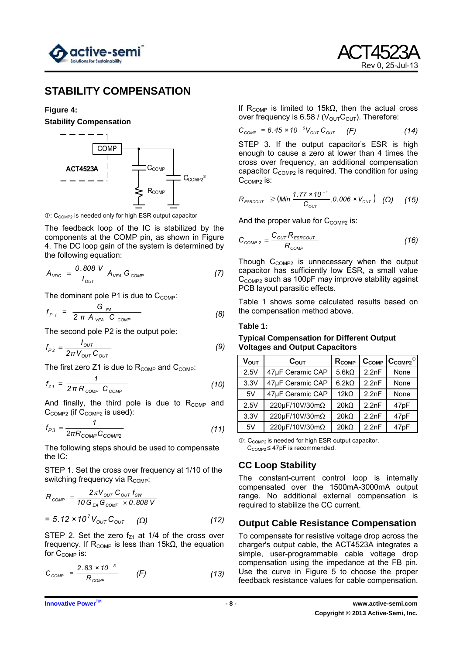

## **STABILITY COMPENSATION**

#### **Figure 4:**

**Stability Compensation** 



 $\mathbb{O}: C_{\text{COMP2}}$  is needed only for high ESR output capacitor

The feedback loop of the IC is stabilized by the components at the COMP pin, as shown in Figure 4. The DC loop gain of the system is determined by the following equation:

$$
A_{\text{VDC}} = \frac{0.808 \text{ V}}{I_{\text{OUT}}} A_{\text{VEA}} G_{\text{COMP}} \qquad (7)
$$

The dominant pole P1 is due to  $C_{\text{COMP}}$ :

$$
f_{P1} = \frac{G_{EA}}{2 \pi A_{VEA} C_{COMP}}
$$
 (8)

The second pole P2 is the output pole:

$$
f_{P2} = \frac{I_{OUT}}{2\pi V_{OUT} C_{OUT}} \tag{9}
$$

The first zero  $Z1$  is due to  $R_{COMP}$  and  $C_{COMP}$ :

$$
f_{Z1} = \frac{1}{2\pi R_{\text{COMP}}} \tag{10}
$$

And finally, the third pole is due to  $R_{COMP}$  and  $C_{COMP2}$  (if  $C_{COMP2}$  is used):

$$
f_{P3} = \frac{1}{2\pi R_{\text{COMP}} C_{\text{COMP2}}}
$$
 (11)

The following steps should be used to compensate the IC:

STEP 1. Set the cross over frequency at 1/10 of the switching frequency via  $R_{\text{COMP}}$ :

$$
R_{\text{COMP}} = \frac{2\pi V_{\text{OUT}} C_{\text{OUT}} f_{\text{SW}}}{10 G_{\text{EA}} G_{\text{COMP}} \times 0.808 \text{ V}}
$$

$$
= 5.12 \times 10^7 V_{\text{OUT}} C_{\text{OUT}} \quad (\Omega) \tag{12}
$$

STEP 2. Set the zero  $f<sub>Z1</sub>$  at 1/4 of the cross over frequency. If R<sub>COMP</sub> is less than 15kΩ, the equation for  $C_{\text{COMP}}$  is:

$$
C_{\text{COMP}} = \frac{2.83 \times 10^{-5}}{R_{\text{COMP}}}
$$
 (F) (13)

If R<sub>COMP</sub> is limited to 15kΩ, then the actual cross over frequency is 6.58 /  $(V_{\text{OUT}}C_{\text{OUT}})$ . Therefore:

$$
C_{\text{COMP}} = 6.45 \times 10^{-6} V_{\text{OUT}} C_{\text{OUT}} \quad (F) \tag{14}
$$

STEP 3. If the output capacitor's ESR is high enough to cause a zero at lower than 4 times the cross over frequency, an additional compensation capacitor  $C_{COMP2}$  is required. The condition for using C<sub>COMP2</sub> is:

$$
R_{\text{ESRCOUT}} \geq (Min \frac{1.77 \times 10^{-6}}{C_{\text{OUT}}}, 0.006 \times V_{\text{OUT}}) \quad (\Omega) \quad (15)
$$

And the proper value for  $C_{COMP2}$  is:

$$
C_{\text{COMP 2}} = \frac{C_{\text{OUT}} R_{\text{ESRCOUT}}}{R_{\text{COMP}}}
$$
 (16)

Though  $C_{COMP2}$  is unnecessary when the output capacitor has sufficiently low ESR, a small value C<sub>COMP2</sub> such as 100pF may improve stability against PCB layout parasitic effects.

Table 1 shows some calculated results based on the compensation method above.

#### **Table 1:**

#### **Typical Compensation for Different Output Voltages and Output Capacitors**

| V <sub>out</sub> | $C_{\text{OUT}}$ | R <sub>COMP</sub> |       | $C_{COMP}$ $C_{COMP2}$ <sup>®</sup> |
|------------------|------------------|-------------------|-------|-------------------------------------|
| 2.5V             | 47µF Ceramic CAP | $5.6k\Omega$      | 2.2nF | None                                |
| 3.3V             | 47µF Ceramic CAP | $6.2k\Omega$      | 2.2nF | None                                |
| 5V               | 47µF Ceramic CAP | $12k\Omega$       | 2.2nF | None                                |
| 2.5V             | 220μF/10V/30mΩ   | $20k\Omega$       | 2.2nF | 47pF                                |
| 3.3V             | 220μF/10V/30mΩ   | $20k\Omega$       | 2.2nF | 47pF                                |
| 5V               | 220μF/10V/30mΩ   | $20k\Omega$       | 2.2nF | 47pF                                |

 $\mathbb{O}:$  C<sub>COMP2</sub> is needed for high ESR output capacitor.  $C_{COMP2} \leq 47pF$  is recommended.

#### **CC Loop Stability**

The constant-current control loop is internally compensated over the 1500mA-3000mA output range. No additional external compensation is required to stabilize the CC current.

## **Output Cable Resistance Compensation**

To compensate for resistive voltage drop across the charger's output cable, the ACT4523A integrates a simple, user-programmable cable voltage drop compensation using the impedance at the FB pin. Use the curve in Figure 5 to choose the proper feedback resistance values for cable compensation.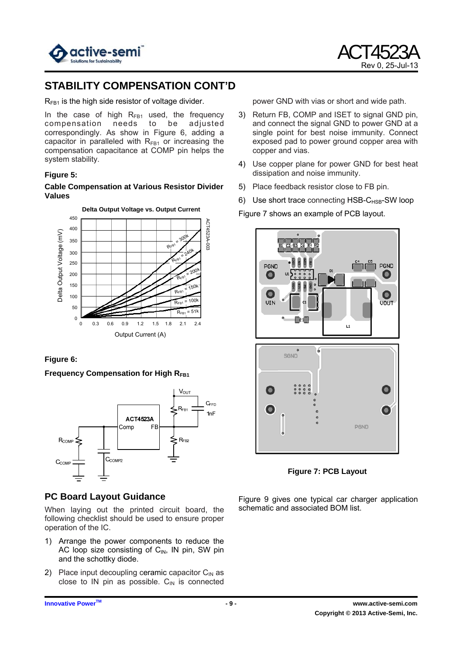

# **STABILITY COMPENSATION CONT'D**

 $R_{FB1}$  is the high side resistor of voltage divider.

In the case of high  $R_{FB1}$  used, the frequency compensation needs to be adjusted correspondingly. As show in Figure 6, adding a capacitor in paralleled with  $R_{FB1}$  or increasing the compensation capacitance at COMP pin helps the system stability.

#### **Figure 5:**

**Cable Compensation at Various Resistor Divider Values** 



## **Figure 6:**

**Frequency Compensation for High RFB1** 



## **PC Board Layout Guidance**

When laying out the printed circuit board, the following checklist should be used to ensure proper operation of the IC.

- 1) Arrange the power components to reduce the AC loop size consisting of  $C_{\text{IN}}$ , IN pin, SW pin and the schottky diode.
- 2) Place input decoupling ceramic capacitor  $C_{\text{IN}}$  as close to IN pin as possible.  $C_{\text{IN}}$  is connected

power GND with vias or short and wide path.

- 3) Return FB, COMP and ISET to signal GND pin, and connect the signal GND to power GND at a single point for best noise immunity. Connect exposed pad to power ground copper area with copper and vias.
- 4) Use copper plane for power GND for best heat dissipation and noise immunity.
- 5) Place feedback resistor close to FB pin.
- 6) Use short trace connecting  $HSB-C_{HSB}$ -SW loop

Figure 7 shows an example of PCB layout.



**Figure 7: PCB Layout** 

Figure 9 gives one typical car charger application schematic and associated BOM list.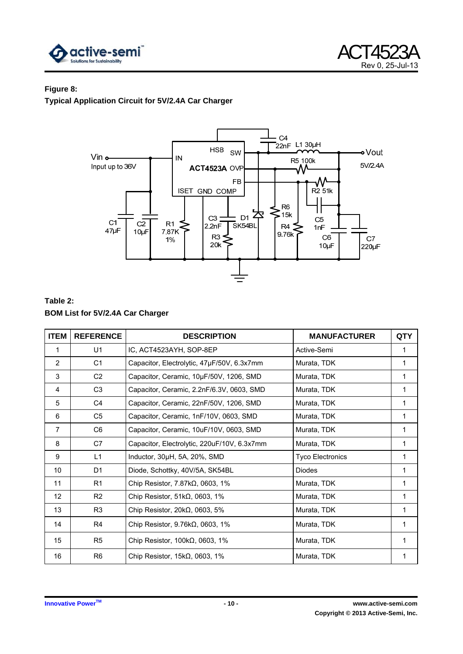



#### **Figure 8:**

**Typical Application Circuit for 5V/2.4A Car Charger** 



## **Table 2: BOM List for 5V/2.4A Car Charger**

| <b>ITEM</b>       | <b>REFERENCE</b> | <b>DESCRIPTION</b>                          | <b>MANUFACTURER</b>     | <b>QTY</b> |
|-------------------|------------------|---------------------------------------------|-------------------------|------------|
| 1                 | U1               | IC, ACT4523AYH, SOP-8EP                     | Active-Semi             |            |
| $\overline{2}$    | C <sub>1</sub>   | Capacitor, Electrolytic, 47µF/50V, 6.3x7mm  | Murata, TDK             | 1          |
| 3                 | C <sub>2</sub>   | Capacitor, Ceramic, 10µF/50V, 1206, SMD     | Murata, TDK             | 1          |
| 4                 | C <sub>3</sub>   | Capacitor, Ceramic, 2.2nF/6.3V, 0603, SMD   | Murata, TDK             | 1          |
| 5                 | C <sub>4</sub>   | Capacitor, Ceramic, 22nF/50V, 1206, SMD     | Murata, TDK             |            |
| 6                 | C <sub>5</sub>   | Capacitor, Ceramic, 1nF/10V, 0603, SMD      | Murata, TDK             | 1          |
| $\overline{7}$    | C <sub>6</sub>   | Capacitor, Ceramic, 10uF/10V, 0603, SMD     | Murata, TDK             | 1          |
| 8                 | C7               | Capacitor, Electrolytic, 220uF/10V, 6.3x7mm | Murata, TDK             | 1          |
| 9                 | L1               | Inductor, 30µH, 5A, 20%, SMD                | <b>Tyco Electronics</b> | 1          |
| 10                | D <sub>1</sub>   | Diode, Schottky, 40V/5A, SK54BL             | <b>Diodes</b>           | 1          |
| 11                | R <sub>1</sub>   | Chip Resistor, $7.87k\Omega$ , 0603, 1%     | Murata, TDK             |            |
| $12 \overline{ }$ | R <sub>2</sub>   | Chip Resistor, $51k\Omega$ , 0603, 1%       | Murata, TDK             |            |
| 13                | R <sub>3</sub>   | Chip Resistor, $20k\Omega$ , 0603, 5%       | Murata, TDK             | 1          |
| 14                | R4               | Chip Resistor, $9.76k\Omega$ , 0603, 1%     | Murata, TDK             | 1          |
| 15                | R <sub>5</sub>   | Chip Resistor, $100k\Omega$ , 0603, 1%      | Murata, TDK             |            |
| 16                | R <sub>6</sub>   | Chip Resistor, $15k\Omega$ , 0603, 1%       | Murata, TDK             |            |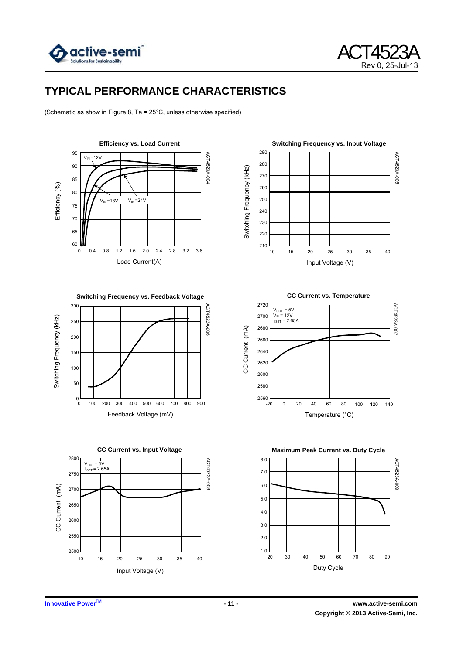

# **TYPICAL PERFORMANCE CHARACTERISTICS**

(Schematic as show in Figure 8, Ta = 25°C, unless otherwise specified)



**Switching Frequency vs. Feedback Voltage** 





**Switching Frequency vs. Input Voltage**  290 ACT4523A-005 ACT4523A-005 280 Switching Frequency (kHz) Switching Frequency (KHz) 270 260 250 240 230 220 210 10 15 20 25 30 35 40 Input Voltage (V)

2720 ACT4523A-007 ACT4523A-007  $V_{\text{OUT}} = 5V$ <br> $V_{\text{IN}} = 12V$ 2700  $I<sub>1SET</sub> = 2.65A$ CC Current (mA) 2680 CC Current (mA) 2660 2640 2620 2600 2580  $2560$   $-20$ -20 0 20 40 60 80 100 120 140 Temperature (°C)

**CC Current vs. Temperature** 

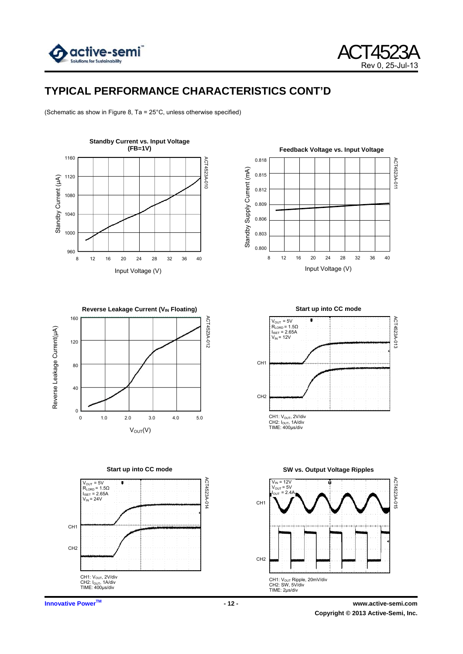



# **TYPICAL PERFORMANCE CHARACTERISTICS CONT'D**

(Schematic as show in Figure 8, Ta = 25°C, unless otherwise specified)













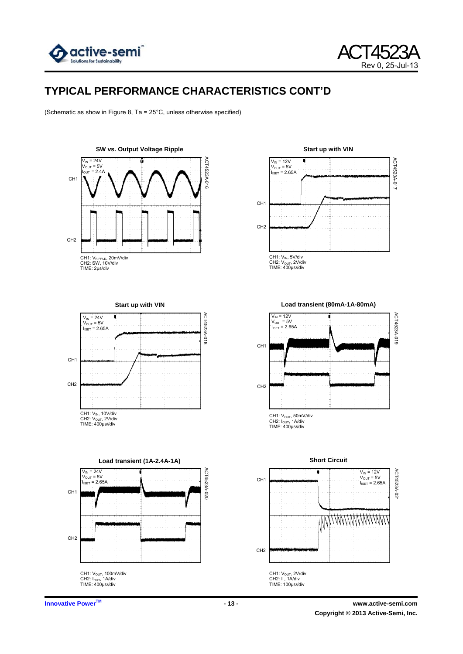



# **TYPICAL PERFORMANCE CHARACTERISTICS CONT'D**

(Schematic as show in Figure 8, Ta = 25°C, unless otherwise specified)

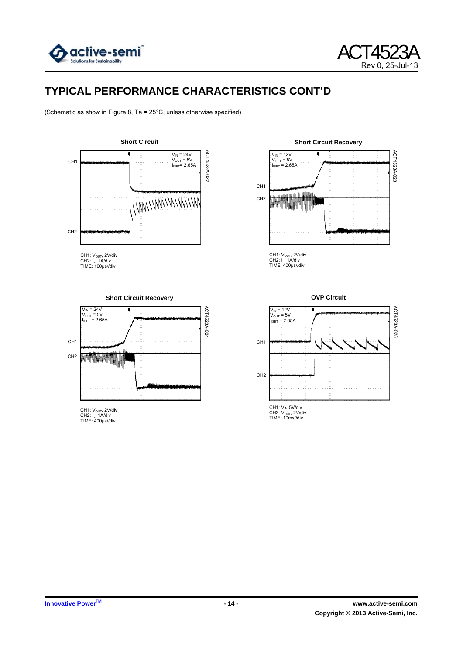



ACT4523A-023

ACT4523A-023

# **TYPICAL PERFORMANCE CHARACTERISTICS CONT'D**

(Schematic as show in Figure 8, Ta = 25°C, unless otherwise specified)



**Short Circuit Recovery** 

r

CH1: V<sub>OUT</sub>, 2V/div<br>CH2: I<sub>L</sub>, 1A/div<br>TIME: 400μs//div

antara in pattitumo.<br>Antariga ya mata da kat

CH1 CH2  $V_{IN}$  = 12V V<sub>OUT</sub> = 5V<br>I<sub>ISET</sub> = 2.65A